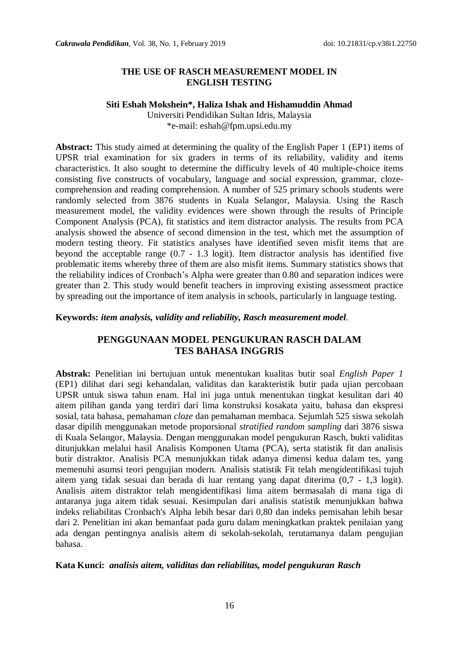#### **THE USE OF RASCH MEASUREMENT MODEL IN ENGLISH TESTING**

#### **Siti Eshah Mokshein\*, Haliza Ishak and Hishamuddin Ahmad**

Universiti Pendidikan Sultan Idris, Malaysia \*e-mail: eshah@fpm.upsi.edu.my

**Abstract:** This study aimed at determining the quality of the English Paper 1 (EP1) items of UPSR trial examination for six graders in terms of its reliability, validity and items characteristics. It also sought to determine the difficulty levels of 40 multiple-choice items consisting five constructs of vocabulary, language and social expression, grammar, clozecomprehension and reading comprehension. A number of 525 primary schools students were randomly selected from 3876 students in Kuala Selangor, Malaysia. Using the Rasch measurement model, the validity evidences were shown through the results of Principle Component Analysis (PCA), fit statistics and item distractor analysis. The results from PCA analysis showed the absence of second dimension in the test, which met the assumption of modern testing theory. Fit statistics analyses have identified seven misfit items that are beyond the acceptable range (0.7 - 1.3 logit). Item distractor analysis has identified five problematic items whereby three of them are also misfit items. Summary statistics shows that the reliability indices of Cronbach"s Alpha were greater than 0.80 and separation indices were greater than 2. This study would benefit teachers in improving existing assessment practice by spreading out the importance of item analysis in schools, particularly in language testing.

#### **Keywords:** *item analysis, validity and reliability, Rasch measurement model.*

## **PENGGUNAAN MODEL PENGUKURAN RASCH DALAM TES BAHASA INGGRIS**

**Abstrak:** Penelitian ini bertujuan untuk menentukan kualitas butir soal *English Paper 1* (EP1) dilihat dari segi kehandalan, validitas dan karakteristik butir pada ujian percobaan UPSR untuk siswa tahun enam. Hal ini juga untuk menentukan tingkat kesulitan dari 40 aitem pilihan ganda yang terdiri dari lima konstruksi kosakata yaitu, bahasa dan ekspresi sosial, tata bahasa, pemahaman *cloze* dan pemahaman membaca. Sejumlah 525 siswa sekolah dasar dipilih menggunakan metode proporsional *stratified random sampling* dari 3876 siswa di Kuala Selangor, Malaysia. Dengan menggunakan model pengukuran Rasch, bukti validitas ditunjukkan melalui hasil Analisis Komponen Utama (PCA), serta statistik fit dan analisis butir distraktor. Analisis PCA menunjukkan tidak adanya dimensi kedua dalam tes, yang memenuhi asumsi teori pengujian modern. Analisis statistik Fit telah mengidentifikasi tujuh aitem yang tidak sesuai dan berada di luar rentang yang dapat diterima (0,7 - 1,3 logit). Analisis aitem distraktor telah mengidentifikasi lima aitem bermasalah di mana tiga di antaranya juga aitem tidak sesuai. Kesimpulan dari analisis statistik menunjukkan bahwa indeks reliabilitas Cronbach's Alpha lebih besar dari 0,80 dan indeks pemisahan lebih besar dari 2. Penelitian ini akan bemanfaat pada guru dalam meningkatkan praktek penilaian yang ada dengan pentingnya analisis aitem di sekolah-sekolah, terutamanya dalam pengujian bahasa.

#### **Kata Kunci:** *analisis aitem, validitas dan reliabilitas, model pengukuran Rasch*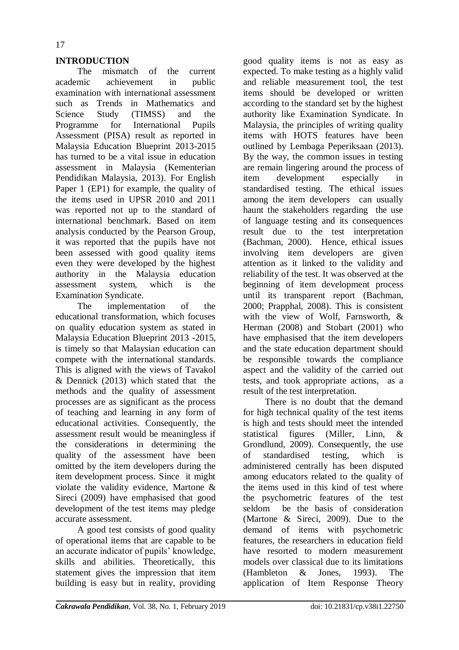## **INTRODUCTION**

The mismatch of the current academic achievement in public examination with international assessment such as Trends in Mathematics and Science Study (TIMSS) and the Programme for International Pupils Assessment (PISA) result as reported in Malaysia Education Blueprint 2013-2015 has turned to be a vital issue in education assessment in Malaysia (Kementerian Pendidikan Malaysia, 2013). For English Paper 1 (EP1) for example, the quality of the items used in UPSR 2010 and 2011 was reported not up to the standard of international benchmark. Based on item analysis conducted by the Pearson Group, it was reported that the pupils have not been assessed with good quality items even they were developed by the highest authority in the Malaysia education assessment system, which is the Examination Syndicate.

The implementation of the educational transformation, which focuses on quality education system as stated in Malaysia Education Blueprint 2013 -2015, is timely so that Malaysian education can compete with the international standards. This is aligned with the views of Tavakol & Dennick (2013) which stated that the methods and the quality of assessment processes are as significant as the process of teaching and learning in any form of educational activities. Consequently, the assessment result would be meaningless if the considerations in determining the quality of the assessment have been omitted by the item developers during the item development process. Since it might violate the validity evidence, Martone & Sireci (2009) have emphasised that good development of the test items may pledge accurate assessment.

A good test consists of good quality of operational items that are capable to be an accurate indicator of pupils" knowledge, skills and abilities. Theoretically, this statement gives the impression that item building is easy but in reality, providing

good quality items is not as easy as expected. To make testing as a highly valid and reliable measurement tool, the test items should be developed or written according to the standard set by the highest authority like Examination Syndicate. In Malaysia, the principles of writing quality items with HOTS features have been outlined by Lembaga Peperiksaan (2013). By the way, the common issues in testing are remain lingering around the process of item development especially in standardised testing. The ethical issues among the item developers can usually haunt the stakeholders regarding the use of language testing and its consequences result due to the test interpretation (Bachman, 2000). Hence, ethical issues involving item developers are given attention as it linked to the validity and reliability of the test. It was observed at the beginning of item development process until its transparent report (Bachman, 2000; Prapphal, 2008). This is consistent with the view of Wolf, Farnsworth, & Herman (2008) and Stobart (2001) who have emphasised that the item developers and the state education department should be responsible towards the compliance aspect and the validity of the carried out tests, and took appropriate actions, as a result of the test interpretation.

There is no doubt that the demand for high technical quality of the test items is high and tests should meet the intended statistical figures (Miller, Linn, & Grondlund, 2009). Consequently, the use of standardised testing, which is administered centrally has been disputed among educators related to the quality of the items used in this kind of test where the psychometric features of the test seldom be the basis of consideration (Martone & Sireci, 2009). Due to the demand of items with psychometric features, the researchers in education field have resorted to modern measurement models over classical due to its limitations (Hambleton & Jones, 1993). The application of Item Response Theory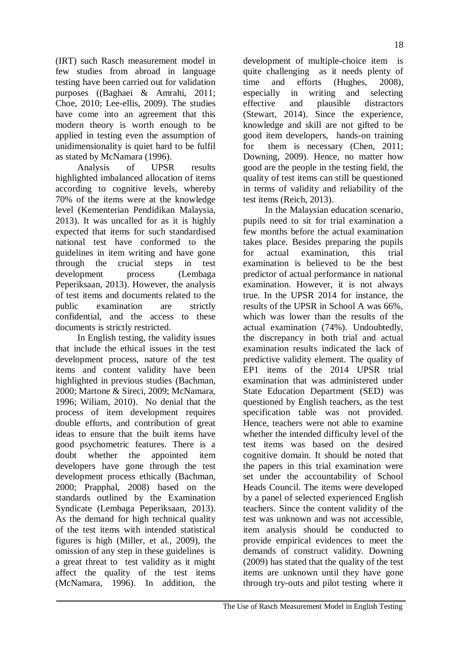(IRT) such Rasch measurement model in few studies from abroad in language testing have been carried out for validation purposes ((Baghaei & Amrahi, 2011; Choe, 2010; Lee-ellis, 2009). The studies have come into an agreement that this modern theory is worth enough to be applied in testing even the assumption of unidimensionality is quiet hard to be fulfil as stated by McNamara (1996).

Analysis of UPSR results highlighted imbalanced allocation of items according to cognitive levels, whereby 70% of the items were at the knowledge level (Kementerian Pendidikan Malaysia, 2013). It was uncalled for as it is highly expected that items for such standardised national test have conformed to the guidelines in item writing and have gone through the crucial steps in test development process (Lembaga Peperiksaan, 2013). However, the analysis of test items and documents related to the public examination are strictly confidential, and the access to these documents is strictly restricted.

In English testing, the validity issues that include the ethical issues in the test development process, nature of the test items and content validity have been highlighted in previous studies (Bachman, 2000; Martone & Sireci, 2009; McNamara, 1996; Wiliam, 2010). No denial that the process of item development requires double efforts, and contribution of great ideas to ensure that the built items have good psychometric features. There is a doubt whether the appointed item developers have gone through the test development process ethically (Bachman, 2000; Prapphal, 2008) based on the standards outlined by the Examination Syndicate (Lembaga Peperiksaan, 2013). As the demand for high technical quality of the test items with intended statistical figures is high (Miller, et al., 2009), the omission of any step in these guidelines is a great threat to test validity as it might affect the quality of the test items (McNamara, 1996). In addition, the

development of multiple-choice item is quite challenging as it needs plenty of time and efforts (Hughes, 2008), especially in writing and selecting effective and plausible distractors (Stewart, 2014). Since the experience, knowledge and skill are not gifted to be good item developers, hands-on training for them is necessary (Chen, 2011; Downing, 2009). Hence, no matter how good are the people in the testing field, the quality of test items can still be questioned in terms of validity and reliability of the test items (Reich, 2013).

In the Malaysian education scenario, pupils need to sit for trial examination a few months before the actual examination takes place. Besides preparing the pupils for actual examination, this trial examination is believed to be the best predictor of actual performance in national examination. However, it is not always true. In the UPSR 2014 for instance, the results of the UPSR in School A was 66%, which was lower than the results of the actual examination (74%). Undoubtedly, the discrepancy in both trial and actual examination results indicated the lack of predictive validity element. The quality of EP1 items of the 2014 UPSR trial examination that was administered under State Education Department (SED) was questioned by English teachers, as the test specification table was not provided. Hence, teachers were not able to examine whether the intended difficulty level of the test items was based on the desired cognitive domain. It should be noted that the papers in this trial examination were set under the accountability of School Heads Council. The items were developed by a panel of selected experienced English teachers. Since the content validity of the test was unknown and was not accessible, item analysis should be conducted to provide empirical evidences to meet the demands of construct validity. Downing (2009) has stated that the quality of the test items are unknown until they have gone through try-outs and pilot testing where it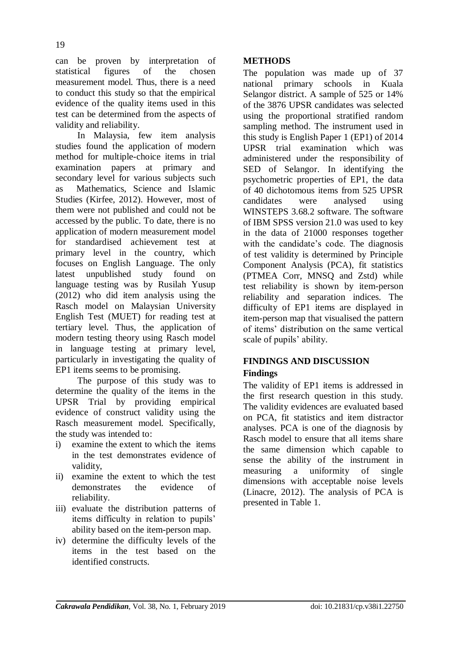can be proven by interpretation of statistical figures of the chosen measurement model. Thus, there is a need to conduct this study so that the empirical evidence of the quality items used in this test can be determined from the aspects of validity and reliability.

In Malaysia, few item analysis studies found the application of modern method for multiple-choice items in trial examination papers at primary and secondary level for various subjects such as Mathematics, Science and Islamic Studies (Kirfee, 2012). However, most of them were not published and could not be accessed by the public. To date, there is no application of modern measurement model for standardised achievement test at primary level in the country, which focuses on English Language. The only latest unpublished study found on language testing was by Rusilah Yusup (2012) who did item analysis using the Rasch model on Malaysian University English Test (MUET) for reading test at tertiary level. Thus, the application of modern testing theory using Rasch model in language testing at primary level, particularly in investigating the quality of EP1 items seems to be promising.

The purpose of this study was to determine the quality of the items in the UPSR Trial by providing empirical evidence of construct validity using the Rasch measurement model. Specifically, the study was intended to:

- i) examine the extent to which the items in the test demonstrates evidence of validity,
- ii) examine the extent to which the test demonstrates the evidence of reliability.
- iii) evaluate the distribution patterns of items difficulty in relation to pupils" ability based on the item-person map.
- iv) determine the difficulty levels of the items in the test based on the identified constructs.

## **METHODS**

The population was made up of 37 national primary schools in Kuala Selangor district. A sample of 525 or 14% of the 3876 UPSR candidates was selected using the proportional stratified random sampling method. The instrument used in this study is English Paper 1 (EP1) of 2014 UPSR trial examination which was administered under the responsibility of SED of Selangor. In identifying the psychometric properties of EP1, the data of 40 dichotomous items from 525 UPSR candidates were analysed using WINSTEPS 3.68.2 software. The software of IBM SPSS version 21.0 was used to key in the data of 21000 responses together with the candidate's code. The diagnosis of test validity is determined by Principle Component Analysis (PCA), fit statistics (PTMEA Corr, MNSQ and Zstd) while test reliability is shown by item-person reliability and separation indices. The difficulty of EP1 items are displayed in item-person map that visualised the pattern of items" distribution on the same vertical scale of pupils' ability.

### **FINDINGS AND DISCUSSION Findings**

The validity of EP1 items is addressed in the first research question in this study. The validity evidences are evaluated based on PCA, fit statistics and item distractor analyses. PCA is one of the diagnosis by Rasch model to ensure that all items share the same dimension which capable to sense the ability of the instrument in measuring a uniformity of single dimensions with acceptable noise levels (Linacre, 2012). The analysis of PCA is presented in Table 1.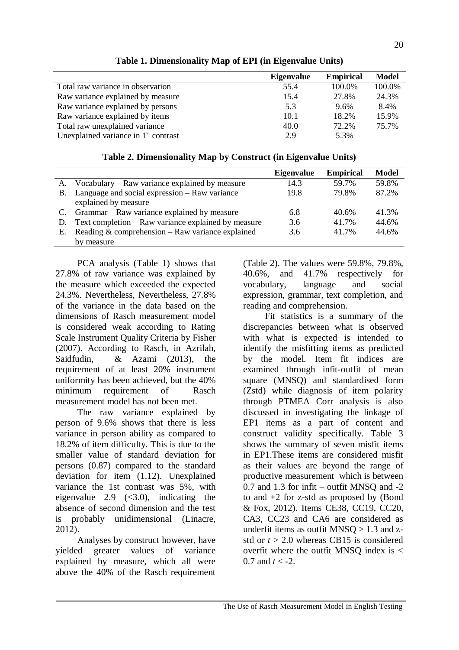|                                        | <b>Eigenvalue</b> | <b>Empirical</b> | <b>Model</b> |
|----------------------------------------|-------------------|------------------|--------------|
| Total raw variance in observation      | 55.4              | 100.0%           | 100.0%       |
| Raw variance explained by measure      | 15.4              | 27.8%            | 24.3%        |
| Raw variance explained by persons      | 5.3               | 9.6%             | 8.4%         |
| Raw variance explained by items        | 10.1              | 18.2%            | 15.9%        |
| Total raw unexplained variance         | 40.0              | 72.2%            | 75.7%        |
| Unexplained variance in $1st$ contrast | 2.9               | 5.3%             |              |

## **Table 1. Dimensionality Map of EPI (in Eigenvalue Units)**

| Table 2. Dimensionality Map by Construct (in Eigenvalue Units) |  |  |  |
|----------------------------------------------------------------|--|--|--|

|           |                                                     | <b>Eigenvalue</b> | <b>Empirical</b> | <b>Model</b> |
|-----------|-----------------------------------------------------|-------------------|------------------|--------------|
| A.        | Vocabulary – Raw variance explained by measure      | 14.3              | 59.7%            | 59.8%        |
| <b>B.</b> | Language and social expression – Raw variance       | 19.8              | 79.8%            | 87.2%        |
|           | explained by measure                                |                   |                  |              |
| C.        | Grammar – Raw variance explained by measure         | 6.8               | 40.6%            | 41.3%        |
| D.        | Text completion – Raw variance explained by measure | 3.6               | 41.7%            | 44.6%        |
| Е.        | Reading $&$ comprehension – Raw variance explained  | 3.6               | 41 7%            | 44.6%        |
|           | by measure                                          |                   |                  |              |

PCA analysis (Table 1) shows that 27.8% of raw variance was explained by the measure which exceeded the expected 24.3%. Nevertheless, Nevertheless, 27.8% of the variance in the data based on the dimensions of Rasch measurement model is considered weak according to Rating Scale Instrument Quality Criteria by Fisher (2007). According to Rasch, in Azrilah, Saidfudin, & Azami (2013), the requirement of at least 20% instrument uniformity has been achieved, but the 40% minimum requirement of Rasch measurement model has not been met.

The raw variance explained by person of 9.6% shows that there is less variance in person ability as compared to 18.2% of item difficulty. This is due to the smaller value of standard deviation for persons (0.87) compared to the standard deviation for item (1.12). Unexplained variance the 1st contrast was 5%, with eigenvalue 2.9  $( $3.0$ ), indicating the$ absence of second dimension and the test is probably unidimensional (Linacre, 2012).

Analyses by construct however, have yielded greater values of variance explained by measure, which all were above the 40% of the Rasch requirement (Table 2). The values were 59.8%, 79.8%, 40.6%, and 41.7% respectively for vocabulary, language and social expression, grammar, text completion, and reading and comprehension.

Fit statistics is a summary of the discrepancies between what is observed with what is expected is intended to identify the misfitting items as predicted by the model. Item fit indices are examined through infit-outfit of mean square (MNSQ) and standardised form (Zstd) while diagnosis of item polarity through PTMEA Corr analysis is also discussed in investigating the linkage of EP1 items as a part of content and construct validity specifically. Table 3 shows the summary of seven misfit items in EP1.These items are considered misfit as their values are beyond the range of productive measurement which is between  $0.7$  and  $1.3$  for infit – outfit MNSO and  $-2$ to and +2 for z-std as proposed by (Bond & Fox, 2012). Items CE38, CC19, CC20, CA3, CC23 and CA6 are considered as underfit items as outfit MNSO  $> 1.3$  and zstd or  $t > 2.0$  whereas CB15 is considered overfit where the outfit MNSO index is  $\lt$ 0.7 and  $t < -2$ .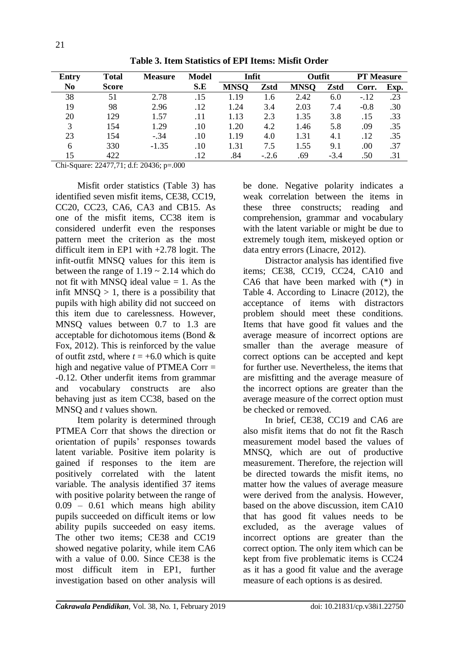| <b>Entry</b>   | <b>Total</b> | <b>Measure</b> | <b>Model</b> | Infit       |         | Outfit      |        | <b>PT</b> Measure |      |
|----------------|--------------|----------------|--------------|-------------|---------|-------------|--------|-------------------|------|
| N <sub>0</sub> | <b>Score</b> |                | S.E          | <b>MNSO</b> | Zstd    | <b>MNSO</b> | Zstd   | Corr.             | Exp. |
| 38             | 51           | 2.78           | .15          | 1.19        | 1.6     | 2.42        | 6.0    | $-.12$            | .23  |
| 19             | 98           | 2.96           | .12          | 1.24        | 3.4     | 2.03        | 7.4    | $-0.8$            | .30  |
| 20             | 129          | 1.57           | .11          | 1.13        | 2.3     | 1.35        | 3.8    | .15               | .33  |
| 3              | 154          | 1.29           | .10          | 1.20        | 4.2     | 1.46        | 5.8    | .09               | .35  |
| 23             | 154          | $-.34$         | .10          | 1.19        | 4.0     | 1.31        | 4.1    | .12               | .35  |
| 6              | 330          | $-1.35$        | .10          | 1.31        | 7.5     | 1.55        | 9.1    | .00               | .37  |
| 15             | 422          |                | .12          | .84         | $-.2.6$ | .69         | $-3.4$ | .50               | .31  |

**Table 3. Item Statistics of EPI Items: Misfit Order**

Chi-Square: 22477,71; d.f: 20436; p=.000

Misfit order statistics (Table 3) has identified seven misfit items, CE38, CC19, CC20, CC23, CA6, CA3 and CB15. As one of the misfit items, CC38 item is considered underfit even the responses pattern meet the criterion as the most difficult item in EP1 with +2.78 logit. The infit-outfit MNSQ values for this item is between the range of  $1.19 \approx 2.14$  which do not fit with MNSO ideal value  $= 1$ . As the infit MNSO  $> 1$ , there is a possibility that pupils with high ability did not succeed on this item due to carelessness. However, MNSQ values between 0.7 to 1.3 are acceptable for dichotomous items (Bond & Fox, 2012). This is reinforced by the value of outfit zstd, where  $t = +6.0$  which is quite high and negative value of PTMEA Corr = -0.12. Other underfit items from grammar and vocabulary constructs are also behaving just as item CC38, based on the MNSQ and *t* values shown.

Item polarity is determined through PTMEA Corr that shows the direction or orientation of pupils" responses towards latent variable. Positive item polarity is gained if responses to the item are positively correlated with the latent variable. The analysis identified 37 items with positive polarity between the range of 0.09 – 0.61 which means high ability pupils succeeded on difficult items or low ability pupils succeeded on easy items. The other two items; CE38 and CC19 showed negative polarity, while item CA6 with a value of 0.00. Since CE38 is the most difficult item in EP1, further investigation based on other analysis will

be done. Negative polarity indicates a weak correlation between the items in these three constructs; reading and comprehension, grammar and vocabulary with the latent variable or might be due to extremely tough item, miskeyed option or data entry errors (Linacre, 2012).

Distractor analysis has identified five items; CE38, CC19, CC24, CA10 and CA6 that have been marked with (\*) in Table 4. According to Linacre (2012), the acceptance of items with distractors problem should meet these conditions. Items that have good fit values and the average measure of incorrect options are smaller than the average measure of correct options can be accepted and kept for further use. Nevertheless, the items that are misfitting and the average measure of the incorrect options are greater than the average measure of the correct option must be checked or removed.

In brief, CE38, CC19 and CA6 are also misfit items that do not fit the Rasch measurement model based the values of MNSQ, which are out of productive measurement. Therefore, the rejection will be directed towards the misfit items, no matter how the values of average measure were derived from the analysis. However, based on the above discussion, item CA10 that has good fit values needs to be excluded, as the average values of incorrect options are greater than the correct option. The only item which can be kept from five problematic items is CC24 as it has a good fit value and the average measure of each options is as desired.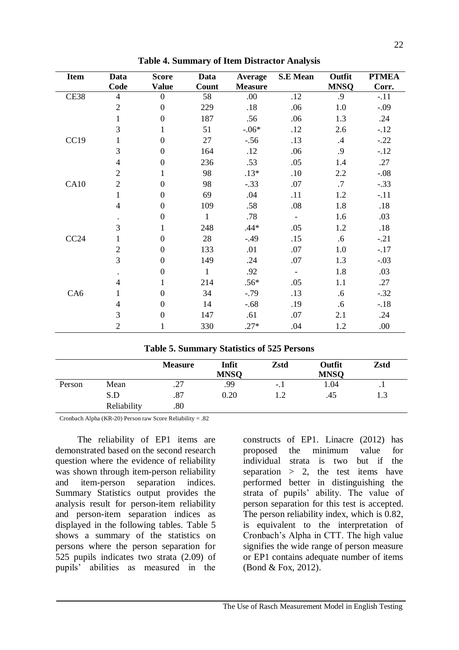| <b>Item</b>     | Data           | <b>Score</b>     | Data         | <b>Average</b> | <b>S.E</b> Mean          | Outfit      | <b>PTMEA</b> |
|-----------------|----------------|------------------|--------------|----------------|--------------------------|-------------|--------------|
|                 | Code           | <b>Value</b>     | Count        | <b>Measure</b> |                          | <b>MNSQ</b> | Corr.        |
| CE38            | $\overline{4}$ | $\mathbf{0}$     | 58           | .00            | .12                      | .9          | $-.11$       |
|                 | $\overline{2}$ | $\overline{0}$   | 229          | .18            | .06                      | 1.0         | $-.09$       |
|                 | 1              | $\Omega$         | 187          | .56            | .06                      | 1.3         | .24          |
|                 | 3              | $\mathbf{1}$     | 51           | $-06*$         | .12                      | 2.6         | $-.12$       |
| CC19            | 1              | $\overline{0}$   | 27           | $-.56$         | .13                      | $.4\,$      | $-.22$       |
|                 | 3              | $\mathbf{0}$     | 164          | .12            | .06                      | .9          | $-.12$       |
|                 | $\overline{4}$ | $\mathbf{0}$     | 236          | .53            | .05                      | 1.4         | .27          |
|                 | $\overline{2}$ | 1                | 98           | $.13*$         | .10                      | 2.2         | $-.08$       |
| CA10            | $\overline{2}$ | $\overline{0}$   | 98           | $-.33$         | .07                      | $.7\,$      | $-.33$       |
|                 | 1              | $\overline{0}$   | 69           | .04            | .11                      | 1.2         | $-.11$       |
|                 | $\overline{4}$ | $\overline{0}$   | 109          | .58            | .08                      | 1.8         | .18          |
|                 | $\bullet$      | $\overline{0}$   | $\mathbf{1}$ | .78            | $\overline{\phantom{a}}$ | 1.6         | .03          |
|                 | 3              | $\mathbf{1}$     | 248          | $.44*$         | .05                      | 1.2         | .18          |
| CC24            | 1              | $\theta$         | 28           | $-.49$         | .15                      | .6          | $-.21$       |
|                 | $\overline{2}$ | $\mathbf{0}$     | 133          | .01            | .07                      | 1.0         | $-.17$       |
|                 | 3              | $\mathbf{0}$     | 149          | .24            | .07                      | 1.3         | $-.03$       |
|                 |                | $\boldsymbol{0}$ | $\mathbf{1}$ | .92            | $\overline{\phantom{a}}$ | 1.8         | .03          |
|                 | $\overline{4}$ | $\mathbf{1}$     | 214          | $.56*$         | .05                      | 1.1         | .27          |
| CA <sub>6</sub> | 1              | $\boldsymbol{0}$ | 34           | $-.79$         | .13                      | .6          | $-.32$       |
|                 | $\overline{4}$ | $\overline{0}$   | 14           | $-.68$         | .19                      | .6          | $-.18$       |
|                 | 3              | $\theta$         | 147          | .61            | .07                      | 2.1         | .24          |
|                 | $\overline{2}$ | 1                | 330          | $.27*$         | .04                      | 1.2         | .00          |

**Table 4. Summary of Item Distractor Analysis**

|        |                    | <b>Measure</b> | Infit<br><b>MNSQ</b> | Zstd  | Outfit<br><b>MNSQ</b> | Zstd      |
|--------|--------------------|----------------|----------------------|-------|-----------------------|-----------|
| Person | Mean               | .27            | .99                  | $-11$ | 1.04                  | $\cdot$ 1 |
|        | S.D<br>Reliability | .87<br>.80     | 0.20                 | 1.2   | .45                   | 1.3       |

Cronbach Alpha (KR-20) Person raw Score Reliability = .82

The reliability of EP1 items are demonstrated based on the second research question where the evidence of reliability was shown through item-person reliability and item-person separation indices. Summary Statistics output provides the analysis result for person-item reliability and person-item separation indices as displayed in the following tables. Table 5 shows a summary of the statistics on persons where the person separation for 525 pupils indicates two strata (2.09) of pupils" abilities as measured in the

constructs of EP1. Linacre (2012) has proposed the minimum value for individual strata is two but if the separation  $> 2$ , the test items have performed better in distinguishing the strata of pupils" ability. The value of person separation for this test is accepted. The person reliability index, which is 0.82, is equivalent to the interpretation of Cronbach"s Alpha in CTT. The high value signifies the wide range of person measure or EP1 contains adequate number of items (Bond & Fox, 2012).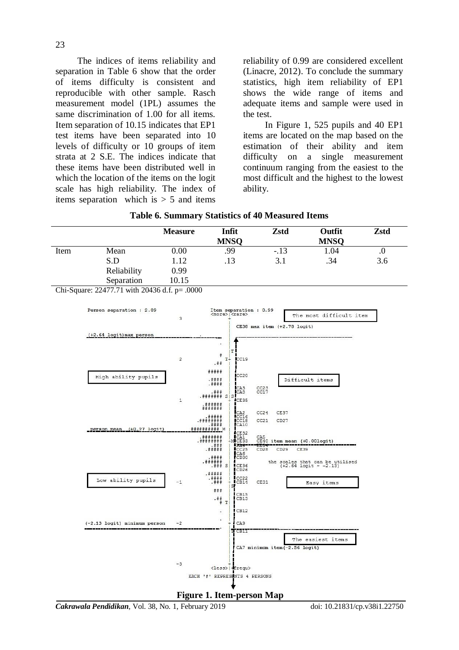The indices of items reliability and separation in Table 6 show that the order of items difficulty is consistent and reproducible with other sample. Rasch measurement model (1PL) assumes the same discrimination of 1.00 for all items. Item separation of 10.15 indicates that EP1 test items have been separated into 10 levels of difficulty or 10 groups of item strata at 2 S.E. The indices indicate that these items have been distributed well in which the location of the items on the logit scale has high reliability. The index of items separation which is  $> 5$  and items

reliability of 0.99 are considered excellent (Linacre, 2012). To conclude the summary statistics, high item reliability of EP1 shows the wide range of items and adequate items and sample were used in the test.

In Figure 1, 525 pupils and 40 EP1 items are located on the map based on the estimation of their ability and item difficulty on a single measurement continuum ranging from the easiest to the most difficult and the highest to the lowest ability.

|      |             | <b>Measure</b> | Infit       | Zstd   | Outfit      | Zstd |
|------|-------------|----------------|-------------|--------|-------------|------|
|      |             |                | <b>MNSQ</b> |        | <b>MNSQ</b> |      |
| Item | Mean        | 0.00           | .99         | $-.13$ | 1.04        | .U   |
|      | S.D         | 1.12           | .13         | 3.1    | .34         | 3.6  |
|      | Reliability | 0.99           |             |        |             |      |
|      | Separation  | 10.15          |             |        |             |      |

**Table 6. Summary Statistics of 40 Measured Items**

Chi-Square: 22477.71 with 20436 d.f. p= .0000



**Figure 1. Item-person Map**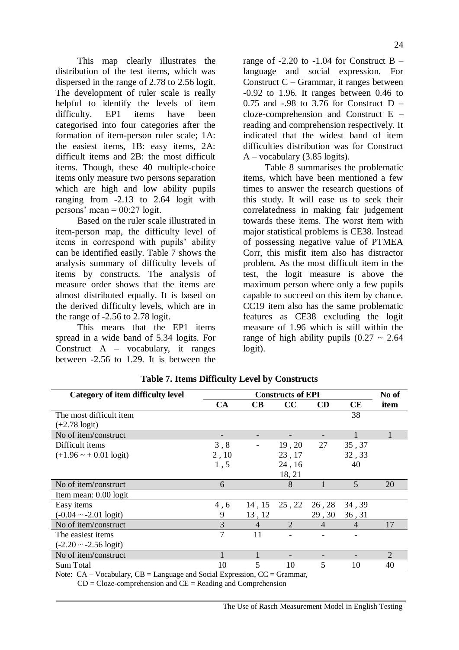This map clearly illustrates the distribution of the test items, which was dispersed in the range of 2.78 to 2.56 logit. The development of ruler scale is really helpful to identify the levels of item difficulty. EP1 items have been categorised into four categories after the formation of item-person ruler scale; 1A: the easiest items, 1B: easy items, 2A: difficult items and 2B: the most difficult items. Though, these 40 multiple-choice items only measure two persons separation which are high and low ability pupils ranging from -2.13 to 2.64 logit with persons' mean  $= 00:27$  logit.

Based on the ruler scale illustrated in item-person map, the difficulty level of items in correspond with pupils' ability can be identified easily. Table 7 shows the analysis summary of difficulty levels of items by constructs. The analysis of measure order shows that the items are almost distributed equally. It is based on the derived difficulty levels, which are in the range of -2.56 to 2.78 logit.

This means that the EP1 items spread in a wide band of 5.34 logits. For Construct  $A - vocabulary$ , it ranges between -2.56 to 1.29. It is between the

range of  $-2.20$  to  $-1.04$  for Construct B  $$ language and social expression. For Construct C – Grammar, it ranges between -0.92 to 1.96. It ranges between 0.46 to 0.75 and  $-.98$  to 3.76 for Construct D – cloze-comprehension and Construct E – reading and comprehension respectively. It indicated that the widest band of item difficulties distribution was for Construct  $A$  – vocabulary (3.85 logits).

Table 8 summarises the problematic items, which have been mentioned a few times to answer the research questions of this study. It will ease us to seek their correlatedness in making fair judgement towards these items. The worst item with major statistical problems is CE38. Instead of possessing negative value of PTMEA Corr, this misfit item also has distractor problem. As the most difficult item in the test, the logit measure is above the maximum person where only a few pupils capable to succeed on this item by chance. CC19 item also has the same problematic features as CE38 excluding the logit measure of 1.96 which is still within the range of high ability pupils  $(0.27 \sim 2.64)$ logit).

| Category of item difficulty level  |       |                | No of          |                |                |                |
|------------------------------------|-------|----------------|----------------|----------------|----------------|----------------|
|                                    | CA    | CB             | $\bf CC$       | <b>CD</b>      | CE             | item           |
| The most difficult item            |       |                |                |                | 38             |                |
| $(+2.78 \text{ logit})$            |       |                |                |                |                |                |
| No of item/construct               |       |                |                |                |                |                |
| Difficult items                    | 3, 8  |                | 19,20          | 27             | 35, 37         |                |
| $(+1.96 \sim +0.01 \text{ logit})$ | 2, 10 |                | 23, 17         |                | 32, 33         |                |
|                                    | 1,5   |                | 24, 16         |                | 40             |                |
|                                    |       |                | 18, 21         |                |                |                |
| No of item/construct               | 6     |                | 8              |                | 5              | 20             |
| Item mean: 0.00 logit              |       |                |                |                |                |                |
| Easy items                         | 4,6   | 14, 15         | 25, 22         | 26, 28         | 34, 39         |                |
| $(-0.04 \sim -2.01 \text{ logit})$ | 9     | 13, 12         |                | 29,30          | 36, 31         |                |
| No of item/construct               | 3     | $\overline{4}$ | $\overline{2}$ | $\overline{4}$ | $\overline{4}$ | 17             |
| The easiest items                  | 7     | 11             |                |                |                |                |
| $(-2.20 \sim -2.56 \text{ logit})$ |       |                |                |                |                |                |
| No of item/construct               |       |                |                |                |                | $\overline{2}$ |
| <b>Sum Total</b>                   | 10    | 5              | 10             | 5              | 10             | 40             |

### **Table 7. Items Difficulty Level by Constructs**

Note:  $CA - Vocabulary$ ,  $CB = Language$  and Social Expression,  $CC = Grammar$ ,

 $CD = Cloze-comprehension$  and  $CE = Reading$  and Comprehension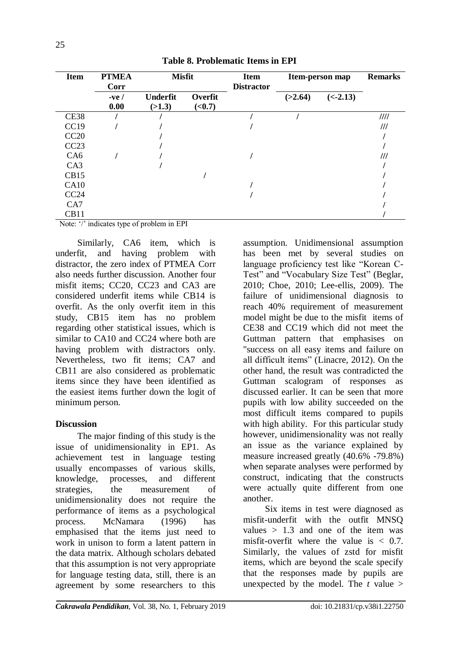| <b>Item</b>                                                        | <b>PTMEA</b><br>Corr | <b>Misfit</b>                                            |                           | <b>Item</b><br><b>Distractor</b> |         | Item-person map | <b>Remarks</b> |
|--------------------------------------------------------------------|----------------------|----------------------------------------------------------|---------------------------|----------------------------------|---------|-----------------|----------------|
|                                                                    | $-ve/$<br>0.00       | <b>Underfit</b><br>(>1.3)                                | Overfit<br>( <b>0.7</b> ) |                                  | (>2.64) | $(< -2.13)$     |                |
| <b>CE38</b>                                                        |                      |                                                          |                           |                                  |         |                 | III            |
| CC19                                                               |                      |                                                          |                           |                                  |         |                 | ///            |
| CC20                                                               |                      |                                                          |                           |                                  |         |                 |                |
| CC23                                                               |                      |                                                          |                           |                                  |         |                 |                |
| CA <sub>6</sub>                                                    |                      |                                                          |                           |                                  |         |                 | ///            |
| CA3                                                                |                      |                                                          |                           |                                  |         |                 |                |
| CB15                                                               |                      |                                                          |                           |                                  |         |                 |                |
| CA10                                                               |                      |                                                          |                           |                                  |         |                 |                |
| CC24                                                               |                      |                                                          |                           |                                  |         |                 |                |
| CA7                                                                |                      |                                                          |                           |                                  |         |                 |                |
| CB11<br>$\sim$ $\sim$ $\sim$ $\sim$ $\sim$<br>$\sim$ $\sim$ $\sim$ |                      | $\mathbf{r}$ and $\mathbf{r}$<br>$\sim$<br>$\sim$ $\sim$ |                           |                                  |         |                 |                |

**Table 8. Problematic Items in EPI**

Note: '/' indicates type of problem in EPI

Similarly, CA6 item, which is underfit, and having problem with distractor, the zero index of PTMEA Corr also needs further discussion. Another four misfit items; CC20, CC23 and CA3 are considered underfit items while CB14 is overfit. As the only overfit item in this study, CB15 item has no problem regarding other statistical issues, which is similar to CA10 and CC24 where both are having problem with distractors only. Nevertheless, two fit items; CA7 and CB11 are also considered as problematic items since they have been identified as the easiest items further down the logit of minimum person.

## **Discussion**

The major finding of this study is the issue of unidimensionality in EP1. As achievement test in language testing usually encompasses of various skills, knowledge, processes, and different strategies, the measurement of unidimensionality does not require the performance of items as a psychological process. McNamara (1996) has emphasised that the items just need to work in unison to form a latent pattern in the data matrix. Although scholars debated that this assumption is not very appropriate for language testing data, still, there is an agreement by some researchers to this

assumption. Unidimensional assumption has been met by several studies on language proficiency test like "Korean C-Test" and "Vocabulary Size Test" (Beglar, 2010; Choe, 2010; Lee-ellis, 2009). The failure of unidimensional diagnosis to reach 40% requirement of measurement model might be due to the misfit items of CE38 and CC19 which did not meet the Guttman pattern that emphasises on "success on all easy items and failure on all difficult items" (Linacre, 2012). On the other hand, the result was contradicted the Guttman scalogram of responses as discussed earlier. It can be seen that more pupils with low ability succeeded on the most difficult items compared to pupils with high ability. For this particular study however, unidimensionality was not really an issue as the variance explained by measure increased greatly (40.6% -79.8%) when separate analyses were performed by construct, indicating that the constructs were actually quite different from one another.

Six items in test were diagnosed as misfit-underfit with the outfit MNSQ values  $> 1.3$  and one of the item was misfit-overfit where the value is  $< 0.7$ . Similarly, the values of zstd for misfit items, which are beyond the scale specify that the responses made by pupils are unexpected by the model. The  $t$  value  $>$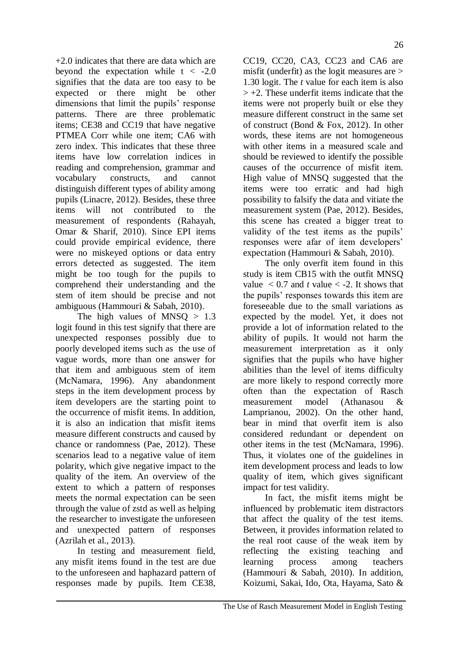+2.0 indicates that there are data which are beyond the expectation while  $t < -2.0$ signifies that the data are too easy to be expected or there might be other dimensions that limit the pupils' response patterns. There are three problematic items; CE38 and CC19 that have negative PTMEA Corr while one item; CA6 with zero index. This indicates that these three items have low correlation indices in reading and comprehension, grammar and vocabulary constructs, and cannot distinguish different types of ability among pupils (Linacre, 2012). Besides, these three items will not contributed to the measurement of respondents (Rahayah, Omar & Sharif, 2010). Since EPI items could provide empirical evidence, there were no miskeyed options or data entry errors detected as suggested. The item might be too tough for the pupils to comprehend their understanding and the stem of item should be precise and not ambiguous (Hammouri & Sabah, 2010).

The high values of  $MNSQ > 1.3$ logit found in this test signify that there are unexpected responses possibly due to poorly developed items such as the use of vague words, more than one answer for that item and ambiguous stem of item (McNamara, 1996). Any abandonment steps in the item development process by item developers are the starting point to the occurrence of misfit items. In addition, it is also an indication that misfit items measure different constructs and caused by chance or randomness (Pae, 2012). These scenarios lead to a negative value of item polarity, which give negative impact to the quality of the item. An overview of the extent to which a pattern of responses meets the normal expectation can be seen through the value of zstd as well as helping the researcher to investigate the unforeseen and unexpected pattern of responses (Azrilah et al., 2013).

In testing and measurement field, any misfit items found in the test are due to the unforeseen and haphazard pattern of responses made by pupils. Item CE38,

CC19, CC20, CA3, CC23 and CA6 are misfit (underfit) as the logit measures are > 1.30 logit. The *t* value for each item is also  $> +2$ . These underfit items indicate that the items were not properly built or else they measure different construct in the same set of construct (Bond & Fox, 2012). In other words, these items are not homogeneous with other items in a measured scale and should be reviewed to identify the possible causes of the occurrence of misfit item. High value of MNSQ suggested that the items were too erratic and had high possibility to falsify the data and vitiate the measurement system (Pae, 2012). Besides, this scene has created a bigger treat to validity of the test items as the pupils' responses were afar of item developers" expectation (Hammouri & Sabah, 2010).

The only overfit item found in this study is item CB15 with the outfit MNSQ value  $< 0.7$  and *t* value  $< -2$ . It shows that the pupils" responses towards this item are foreseeable due to the small variations as expected by the model. Yet, it does not provide a lot of information related to the ability of pupils. It would not harm the measurement interpretation as it only signifies that the pupils who have higher abilities than the level of items difficulty are more likely to respond correctly more often than the expectation of Rasch measurement model (Athanasou & Lamprianou, 2002). On the other hand, bear in mind that overfit item is also considered redundant or dependent on other items in the test (McNamara, 1996). Thus, it violates one of the guidelines in item development process and leads to low quality of item, which gives significant impact for test validity.

In fact, the misfit items might be influenced by problematic item distractors that affect the quality of the test items. Between, it provides information related to the real root cause of the weak item by reflecting the existing teaching and learning process among teachers (Hammouri & Sabah, 2010). In addition, Koizumi, Sakai, Ido, Ota, Hayama, Sato &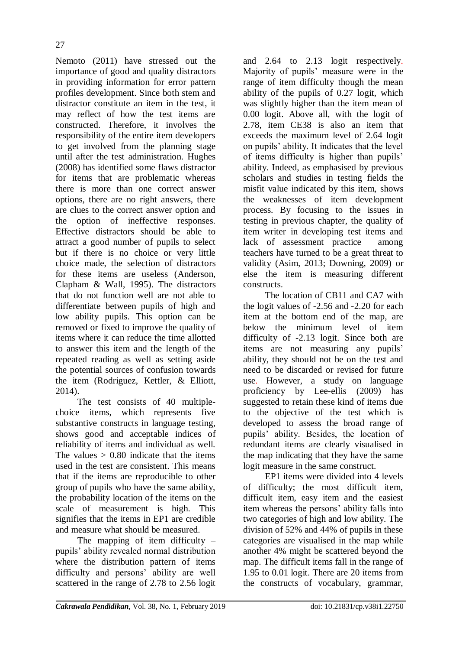Nemoto (2011) have stressed out the importance of good and quality distractors in providing information for error pattern profiles development. Since both stem and distractor constitute an item in the test, it may reflect of how the test items are constructed. Therefore, it involves the responsibility of the entire item developers to get involved from the planning stage until after the test administration. Hughes (2008) has identified some flaws distractor for items that are problematic whereas there is more than one correct answer options, there are no right answers, there are clues to the correct answer option and the option of ineffective responses. Effective distractors should be able to attract a good number of pupils to select but if there is no choice or very little choice made, the selection of distractors for these items are useless (Anderson, Clapham & Wall, 1995). The distractors that do not function well are not able to differentiate between pupils of high and low ability pupils. This option can be removed or fixed to improve the quality of items where it can reduce the time allotted to answer this item and the length of the repeated reading as well as setting aside the potential sources of confusion towards the item (Rodriguez, Kettler, & Elliott, 2014).

The test consists of 40 multiplechoice items, which represents five substantive constructs in language testing, shows good and acceptable indices of reliability of items and individual as well. The values  $> 0.80$  indicate that the items used in the test are consistent. This means that if the items are reproducible to other group of pupils who have the same ability, the probability location of the items on the scale of measurement is high. This signifies that the items in EP1 are credible and measure what should be measured.

The mapping of item difficulty  $$ pupils" ability revealed normal distribution where the distribution pattern of items difficulty and persons' ability are well scattered in the range of 2.78 to 2.56 logit

and 2.64 to 2.13 logit respectively. Majority of pupils" measure were in the range of item difficulty though the mean ability of the pupils of 0.27 logit, which was slightly higher than the item mean of 0.00 logit. Above all, with the logit of 2.78, item CE38 is also an item that exceeds the maximum level of 2.64 logit on pupils" ability. It indicates that the level of items difficulty is higher than pupils" ability. Indeed, as emphasised by previous scholars and studies in testing fields the misfit value indicated by this item, shows the weaknesses of item development process. By focusing to the issues in testing in previous chapter, the quality of item writer in developing test items and lack of assessment practice among teachers have turned to be a great threat to validity (Asim, 2013; Downing, 2009) or else the item is measuring different constructs.

The location of CB11 and CA7 with the logit values of -2.56 and -2.20 for each item at the bottom end of the map, are below the minimum level of item difficulty of -2.13 logit. Since both are items are not measuring any pupils" ability, they should not be on the test and need to be discarded or revised for future use. However, a study on language proficiency by Lee-ellis (2009) has suggested to retain these kind of items due to the objective of the test which is developed to assess the broad range of pupils" ability. Besides, the location of redundant items are clearly visualised in the map indicating that they have the same logit measure in the same construct.

EP1 items were divided into 4 levels of difficulty; the most difficult item, difficult item, easy item and the easiest item whereas the persons" ability falls into two categories of high and low ability. The division of 52% and 44% of pupils in these categories are visualised in the map while another 4% might be scattered beyond the map. The difficult items fall in the range of 1.95 to 0.01 logit. There are 20 items from the constructs of vocabulary, grammar,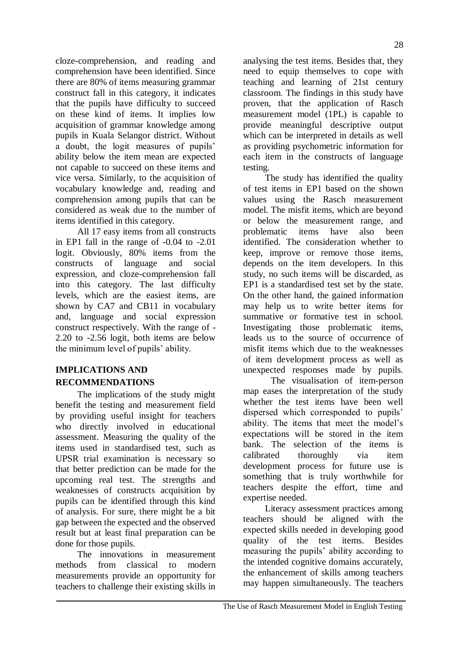cloze-comprehension, and reading and comprehension have been identified. Since there are 80% of items measuring grammar construct fall in this category, it indicates that the pupils have difficulty to succeed on these kind of items. It implies low acquisition of grammar knowledge among pupils in Kuala Selangor district. Without a doubt, the logit measures of pupils' ability below the item mean are expected not capable to succeed on these items and vice versa. Similarly, to the acquisition of vocabulary knowledge and, reading and comprehension among pupils that can be considered as weak due to the number of items identified in this category.

All 17 easy items from all constructs in EP1 fall in the range of -0.04 to -2.01 logit. Obviously, 80% items from the constructs of language and social expression, and cloze-comprehension fall into this category. The last difficulty levels, which are the easiest items, are shown by CA7 and CB11 in vocabulary and, language and social expression construct respectively. With the range of - 2.20 to -2.56 logit, both items are below the minimum level of pupils" ability.

# **IMPLICATIONS AND RECOMMENDATIONS**

The implications of the study might benefit the testing and measurement field by providing useful insight for teachers who directly involved in educational assessment. Measuring the quality of the items used in standardised test, such as UPSR trial examination is necessary so that better prediction can be made for the upcoming real test. The strengths and weaknesses of constructs acquisition by pupils can be identified through this kind of analysis. For sure, there might be a bit gap between the expected and the observed result but at least final preparation can be done for those pupils.

The innovations in measurement methods from classical to modern measurements provide an opportunity for teachers to challenge their existing skills in analysing the test items. Besides that, they need to equip themselves to cope with teaching and learning of 21st century classroom. The findings in this study have proven, that the application of Rasch measurement model (1PL) is capable to provide meaningful descriptive output which can be interpreted in details as well as providing psychometric information for each item in the constructs of language testing.

The study has identified the quality of test items in EP1 based on the shown values using the Rasch measurement model. The misfit items, which are beyond or below the measurement range, and problematic items have also been identified. The consideration whether to keep, improve or remove those items, depends on the item developers. In this study, no such items will be discarded, as EP1 is a standardised test set by the state. On the other hand, the gained information may help us to write better items for summative or formative test in school. Investigating those problematic items, leads us to the source of occurrence of misfit items which due to the weaknesses of item development process as well as unexpected responses made by pupils.

The visualisation of item-person map eases the interpretation of the study whether the test items have been well dispersed which corresponded to pupils' ability. The items that meet the model"s expectations will be stored in the item bank. The selection of the items is calibrated thoroughly via item development process for future use is something that is truly worthwhile for teachers despite the effort, time and expertise needed.

Literacy assessment practices among teachers should be aligned with the expected skills needed in developing good quality of the test items. Besides measuring the pupils" ability according to the intended cognitive domains accurately, the enhancement of skills among teachers may happen simultaneously. The teachers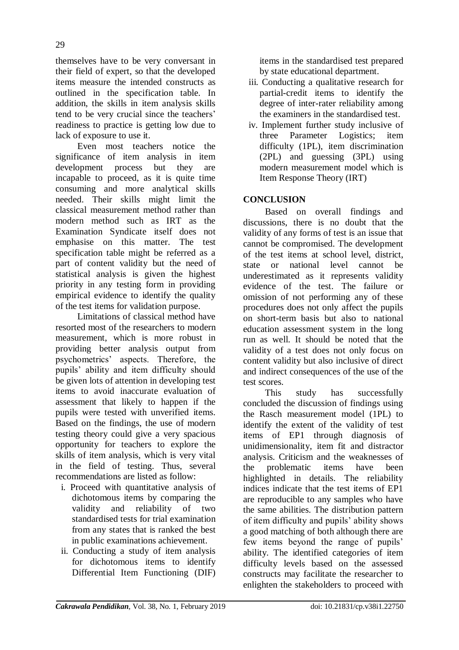themselves have to be very conversant in their field of expert, so that the developed items measure the intended constructs as outlined in the specification table. In addition, the skills in item analysis skills tend to be very crucial since the teachers' readiness to practice is getting low due to lack of exposure to use it.

Even most teachers notice the significance of item analysis in item development process but they are incapable to proceed, as it is quite time consuming and more analytical skills needed. Their skills might limit the classical measurement method rather than modern method such as IRT as the Examination Syndicate itself does not emphasise on this matter. The test specification table might be referred as a part of content validity but the need of statistical analysis is given the highest priority in any testing form in providing empirical evidence to identify the quality of the test items for validation purpose.

Limitations of classical method have resorted most of the researchers to modern measurement, which is more robust in providing better analysis output from psychometrics" aspects. Therefore, the pupils" ability and item difficulty should be given lots of attention in developing test items to avoid inaccurate evaluation of assessment that likely to happen if the pupils were tested with unverified items. Based on the findings, the use of modern testing theory could give a very spacious opportunity for teachers to explore the skills of item analysis, which is very vital in the field of testing. Thus, several recommendations are listed as follow:

- i. Proceed with quantitative analysis of dichotomous items by comparing the validity and reliability of two standardised tests for trial examination from any states that is ranked the best in public examinations achievement.
- ii. Conducting a study of item analysis for dichotomous items to identify Differential Item Functioning (DIF)

items in the standardised test prepared by state educational department.

- iii. Conducting a qualitative research for partial-credit items to identify the degree of inter-rater reliability among the examiners in the standardised test.
- iv. Implement further study inclusive of three Parameter Logistics; item difficulty (1PL), item discrimination (2PL) and guessing (3PL) using modern measurement model which is Item Response Theory (IRT)

## **CONCLUSION**

Based on overall findings and discussions, there is no doubt that the validity of any forms of test is an issue that cannot be compromised. The development of the test items at school level, district, state or national level cannot be underestimated as it represents validity evidence of the test. The failure or omission of not performing any of these procedures does not only affect the pupils on short-term basis but also to national education assessment system in the long run as well. It should be noted that the validity of a test does not only focus on content validity but also inclusive of direct and indirect consequences of the use of the test scores.

This study has successfully concluded the discussion of findings using the Rasch measurement model (1PL) to identify the extent of the validity of test items of EP1 through diagnosis of unidimensionality, item fit and distractor analysis. Criticism and the weaknesses of the problematic items have been highlighted in details. The reliability indices indicate that the test items of EP1 are reproducible to any samples who have the same abilities. The distribution pattern of item difficulty and pupils" ability shows a good matching of both although there are few items beyond the range of pupils' ability. The identified categories of item difficulty levels based on the assessed constructs may facilitate the researcher to enlighten the stakeholders to proceed with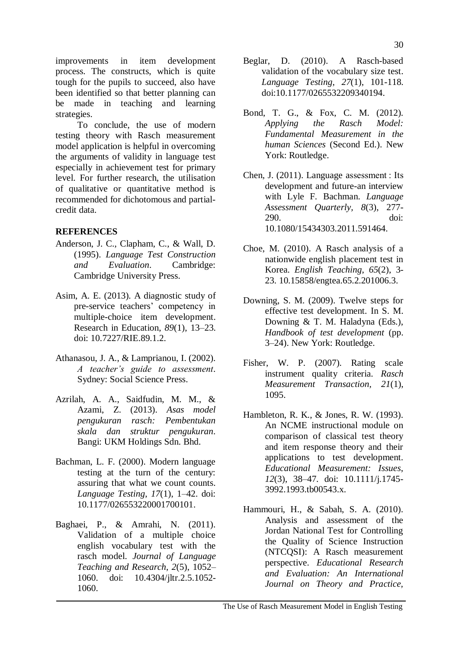improvements in item development process. The constructs, which is quite tough for the pupils to succeed, also have been identified so that better planning can be made in teaching and learning strategies.

To conclude, the use of modern testing theory with Rasch measurement model application is helpful in overcoming the arguments of validity in language test especially in achievement test for primary level. For further research, the utilisation of qualitative or quantitative method is recommended for dichotomous and partialcredit data.

### **REFERENCES**

- Anderson, J. C., Clapham, C., & Wall, D. (1995). *Language Test Construction and Evaluation*. Cambridge: Cambridge University Press.
- Asim, A. E. (2013). A diagnostic study of pre-service teachers" competency in multiple-choice item development. Research in Education, *89*(1), 13–23. doi: [10.7227/RIE.89.1.2.](https://doi.org/10.7227%2FRIE.89.1.2)
- Athanasou, J. A., & Lamprianou, I. (2002). *A teacher's guide to assessment*. Sydney: Social Science Press.
- Azrilah, A. A., Saidfudin, M. M., & Azami, Z. (2013). *Asas model pengukuran rasch: Pembentukan skala dan struktur pengukuran*. Bangi: UKM Holdings Sdn. Bhd.
- Bachman, L. F. (2000). Modern language testing at the turn of the century: assuring that what we count counts. *Language Testing*, *17*(1), 1–42. doi: 10.1177/026553220001700101.
- Baghaei, P., & Amrahi, N. (2011). Validation of a multiple choice english vocabulary test with the rasch model. *Journal of Language Teaching and Research*, *2*(5), 1052– 1060. doi: 10.4304/jltr.2.5.1052- 1060.
- Beglar, D. (2010). A Rasch-based validation of the vocabulary size test. *Language Testing*, *27*(1), 101-118. doi:10.1177/0265532209340194.
- Bond, T. G., & Fox, C. M. (2012). *Applying the Rasch Model: Fundamental Measurement in the human Sciences* (Second Ed.). New York: Routledge.
- Chen, J. (2011). Language assessment : Its development and future-an interview with Lyle F. Bachman. *Language Assessment Quarterly, 8*(3), 277- 290. doi: 10.1080/15434303.2011.591464.
- Choe, M. (2010). A Rasch analysis of a nationwide english placement test in Korea. *English Teaching*, *65*(2), 3- 23. 10.15858/engtea.65.2.201006.3.
- Downing, S. M. (2009). Twelve steps for effective test development. In S. M. Downing & T. M. Haladyna (Eds.), *Handbook of test development* (pp. 3–24). New York: Routledge.
- Fisher, W. P. (2007). Rating scale instrument quality criteria. *Rasch Measurement Transaction, 21*(1), 1095.
- Hambleton, R. K., & Jones, R. W. (1993). An NCME instructional module on comparison of classical test theory and item response theory and their applications to test development. *Educational Measurement: Issues*, *12*(3), 38–47. doi: 10.1111/j.1745- 3992.1993.tb00543.x.
- Hammouri, H., & Sabah, S. A. (2010). Analysis and assessment of the Jordan National Test for Controlling the Quality of Science Instruction (NTCQSI): A Rasch measurement perspective. *Educational Research and Evaluation: An International Journal on Theory and Practice,*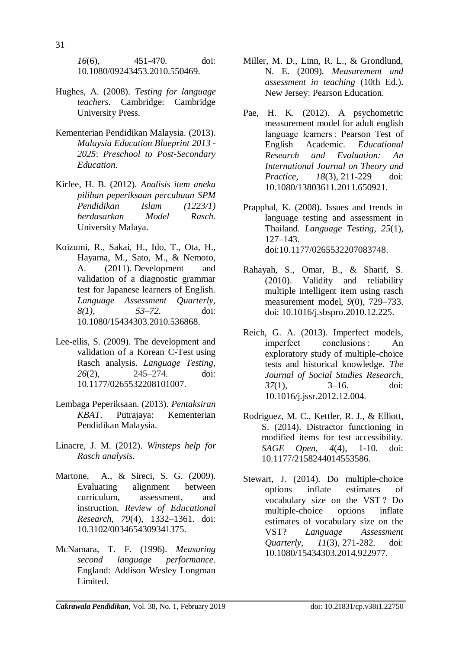*16*(6), 451-470. doi: 10.1080/09243453.2010.550469.

- Hughes, A. (2008). *Testing for language teachers*. Cambridge: Cambridge University Press.
- Kementerian Pendidikan Malaysia. (2013). *Malaysia Education Blueprint 2013 - 2025*: *Preschool to Post-Secondary Education.*
- Kirfee, H. B. (2012). *Analisis item aneka pilihan peperiksaan percubaan SPM Pendidikan Islam (1223/1) berdasarkan Model Rasch*. University Malaya.
- Koizumi, R., Sakai, H., Ido, T., Ota, H., Hayama, M., Sato, M., & Nemoto, A. (2011). Development and validation of a diagnostic grammar test for Japanese learners of English. *Language Assessment Quarterly, 8(1), 53–72.* doi: 10.1080/15434303.2010.536868.
- Lee-ellis, S. (2009). [The development and](http://journals.sagepub.com/doi/abs/10.1177/0265532208101007?casa_token=lz8cjZY6FfYAAAAA:10cuLNBIwuo6VDgSj_4Jd48nJUI2EV6Yq2eXm8iTGlSCJOPxwdQoorE76lWtf88u7b60Vvtyg1WJZg)  [validation of a Korean C-Test](http://journals.sagepub.com/doi/abs/10.1177/0265532208101007?casa_token=lz8cjZY6FfYAAAAA:10cuLNBIwuo6VDgSj_4Jd48nJUI2EV6Yq2eXm8iTGlSCJOPxwdQoorE76lWtf88u7b60Vvtyg1WJZg) using [Rasch analysis.](http://journals.sagepub.com/doi/abs/10.1177/0265532208101007?casa_token=lz8cjZY6FfYAAAAA:10cuLNBIwuo6VDgSj_4Jd48nJUI2EV6Yq2eXm8iTGlSCJOPxwdQoorE76lWtf88u7b60Vvtyg1WJZg) *Language Testing, 26*(2), 245–274. doi: 10.1177/0265532208101007.
- Lembaga Peperiksaan. (2013). *Pentaksiran KBAT*. Putrajaya: Kementerian Pendidikan Malaysia.
- Linacre, J. M. (2012). *Winsteps help for Rasch analysis*.
- Martone, A., & Sireci, S. G. (2009). Evaluating alignment between curriculum, assessment, and instruction. *Review of Educational Research*, *79*(4), 1332–1361. doi: 10.3102/0034654309341375.
- McNamara, T. F. (1996). *Measuring second language performance*. England: Addison Wesley Longman Limited.
- Miller, M. D., Linn, R. L., & Grondlund, N. E. (2009). *Measurement and assessment in teaching* (10th Ed.). New Jersey: Pearson Education.
- Pae, H. K. (2012). A psychometric measurement model for adult english language learners : Pearson Test of English Academic. *[Educational](https://www.tandfonline.com/toc/nere20/current)  [Research and Evaluation: A](https://www.tandfonline.com/toc/nere20/current)n International Journal on Theory and Practice, 18*(3), 211-229 doi: 10.1080/13803611.2011.650921.
- Prapphal, K. (2008). Issues and trends in language testing and assessment in Thailand. *Language Testing*, *25*(1), 127–143. doi:10.1177/0265532207083748.
- Rahayah, S., Omar, B., & Sharif, S. (2010). Validity and reliability multiple intelligent item using rasch measurement model, *9*(0), 729–733. doi: 10.1016/j.sbspro.2010.12.225.
- Reich, G. A. (2013). Imperfect models, imperfect conclusions : An exploratory study of multiple-choice tests and historical knowledge. *The Journal of Social Studies Research*, *37*(1), 3–16. doi: [10.1016/j.jssr.2012.12.004.](https://doi.org/10.1016/j.jssr.2012.12.004)
- Rodriguez, M. C., Kettler, R. J., & Elliott, S. (2014). Distractor functioning in modified items for test accessibility. *SAGE Open, 4*(4), 1-10. doi: 10.1177/2158244014553586.
- Stewart, J. (2014). Do multiple-choice options inflate estimates of vocabulary size on the VST ? Do multiple-choice options inflate estimates of vocabulary size on the VST? *[Language Assessment](https://www.tandfonline.com/toc/hlaq20/current)  [Quarterly](https://www.tandfonline.com/toc/hlaq20/current)*, *11*(3), 271-282. doi: 10.1080/15434303.2014.922977.